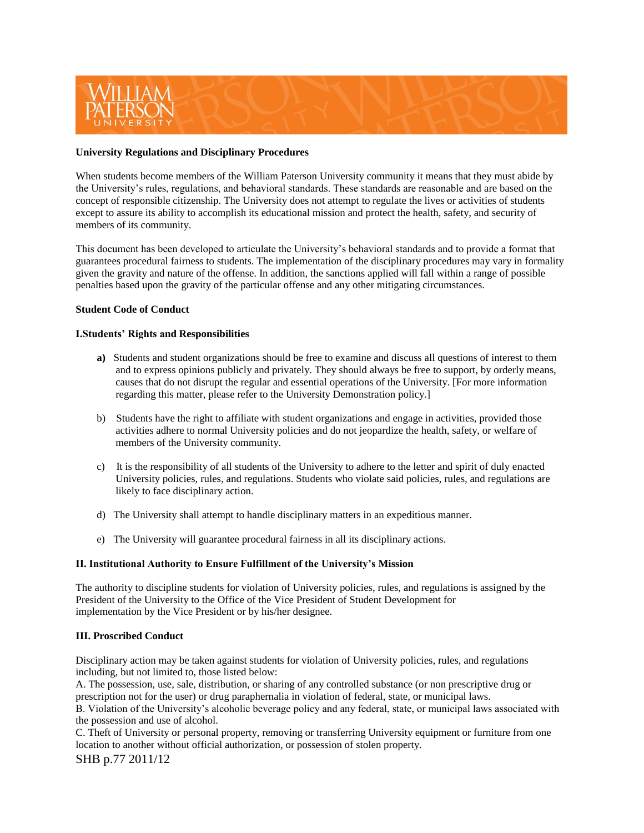

### **University Regulations and Disciplinary Procedures**

When students become members of the William Paterson University community it means that they must abide by the University's rules, regulations, and behavioral standards. These standards are reasonable and are based on the concept of responsible citizenship. The University does not attempt to regulate the lives or activities of students except to assure its ability to accomplish its educational mission and protect the health, safety, and security of members of its community.

This document has been developed to articulate the University's behavioral standards and to provide a format that guarantees procedural fairness to students. The implementation of the disciplinary procedures may vary in formality given the gravity and nature of the offense. In addition, the sanctions applied will fall within a range of possible penalties based upon the gravity of the particular offense and any other mitigating circumstances.

#### **Student Code of Conduct**

## **I.Students' Rights and Responsibilities**

- **a)** Students and student organizations should be free to examine and discuss all questions of interest to them and to express opinions publicly and privately. They should always be free to support, by orderly means, causes that do not disrupt the regular and essential operations of the University. [For more information regarding this matter, please refer to the University Demonstration policy.]
- b) Students have the right to affiliate with student organizations and engage in activities, provided those activities adhere to normal University policies and do not jeopardize the health, safety, or welfare of members of the University community.
- c) It is the responsibility of all students of the University to adhere to the letter and spirit of duly enacted University policies, rules, and regulations. Students who violate said policies, rules, and regulations are likely to face disciplinary action.
- d) The University shall attempt to handle disciplinary matters in an expeditious manner.
- e) The University will guarantee procedural fairness in all its disciplinary actions.

# **II. Institutional Authority to Ensure Fulfillment of the University's Mission**

The authority to discipline students for violation of University policies, rules, and regulations is assigned by the President of the University to the Office of the Vice President of Student Development for implementation by the Vice President or by his/her designee.

# **III. Proscribed Conduct**

Disciplinary action may be taken against students for violation of University policies, rules, and regulations including, but not limited to, those listed below:

A. The possession, use, sale, distribution, or sharing of any controlled substance (or non prescriptive drug or prescription not for the user) or drug paraphernalia in violation of federal, state, or municipal laws.

B. Violation of the University's alcoholic beverage policy and any federal, state, or municipal laws associated with the possession and use of alcohol.

SHB p.77 2011/12 C. Theft of University or personal property, removing or transferring University equipment or furniture from one location to another without official authorization, or possession of stolen property.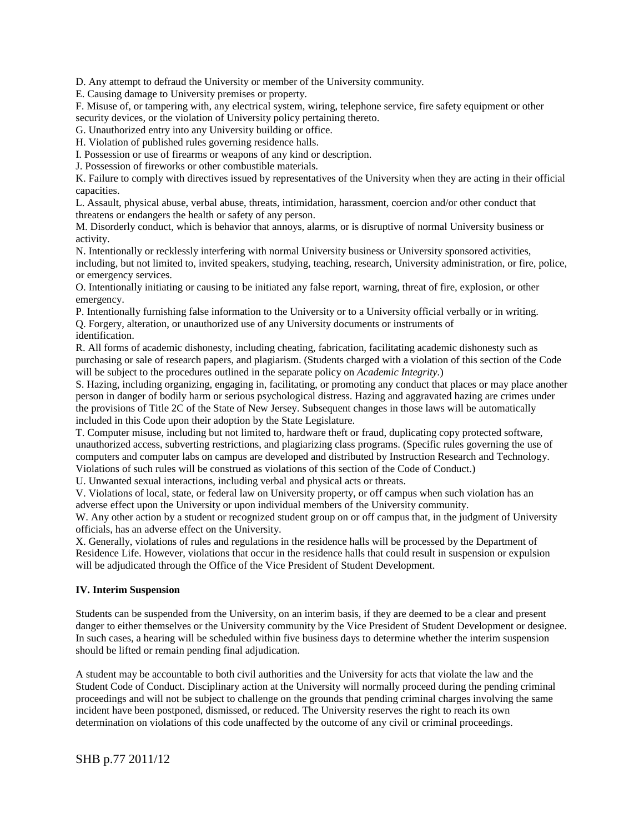D. Any attempt to defraud the University or member of the University community.

E. Causing damage to University premises or property.

F. Misuse of, or tampering with, any electrical system, wiring, telephone service, fire safety equipment or other security devices, or the violation of University policy pertaining thereto.

G. Unauthorized entry into any University building or office.

H. Violation of published rules governing residence halls.

I. Possession or use of firearms or weapons of any kind or description.

J. Possession of fireworks or other combustible materials.

K. Failure to comply with directives issued by representatives of the University when they are acting in their official capacities.

L. Assault, physical abuse, verbal abuse, threats, intimidation, harassment, coercion and/or other conduct that threatens or endangers the health or safety of any person.

M. Disorderly conduct, which is behavior that annoys, alarms, or is disruptive of normal University business or activity.

N. Intentionally or recklessly interfering with normal University business or University sponsored activities, including, but not limited to, invited speakers, studying, teaching, research, University administration, or fire, police, or emergency services.

O. Intentionally initiating or causing to be initiated any false report, warning, threat of fire, explosion, or other emergency.

P. Intentionally furnishing false information to the University or to a University official verbally or in writing.

Q. Forgery, alteration, or unauthorized use of any University documents or instruments of identification.

R. All forms of academic dishonesty, including cheating, fabrication, facilitating academic dishonesty such as purchasing or sale of research papers, and plagiarism. (Students charged with a violation of this section of the Code will be subject to the procedures outlined in the separate policy on *Academic Integrity.*)

S. Hazing, including organizing, engaging in, facilitating, or promoting any conduct that places or may place another person in danger of bodily harm or serious psychological distress. Hazing and aggravated hazing are crimes under the provisions of Title 2C of the State of New Jersey. Subsequent changes in those laws will be automatically included in this Code upon their adoption by the State Legislature.

T. Computer misuse, including but not limited to, hardware theft or fraud, duplicating copy protected software, unauthorized access, subverting restrictions, and plagiarizing class programs. (Specific rules governing the use of computers and computer labs on campus are developed and distributed by Instruction Research and Technology. Violations of such rules will be construed as violations of this section of the Code of Conduct.)

U. Unwanted sexual interactions, including verbal and physical acts or threats.

V. Violations of local, state, or federal law on University property, or off campus when such violation has an adverse effect upon the University or upon individual members of the University community.

W. Any other action by a student or recognized student group on or off campus that, in the judgment of University officials, has an adverse effect on the University.

X. Generally, violations of rules and regulations in the residence halls will be processed by the Department of Residence Life. However, violations that occur in the residence halls that could result in suspension or expulsion will be adjudicated through the Office of the Vice President of Student Development.

# **IV. Interim Suspension**

Students can be suspended from the University, on an interim basis, if they are deemed to be a clear and present danger to either themselves or the University community by the Vice President of Student Development or designee. In such cases, a hearing will be scheduled within five business days to determine whether the interim suspension should be lifted or remain pending final adjudication.

A student may be accountable to both civil authorities and the University for acts that violate the law and the Student Code of Conduct. Disciplinary action at the University will normally proceed during the pending criminal proceedings and will not be subject to challenge on the grounds that pending criminal charges involving the same incident have been postponed, dismissed, or reduced. The University reserves the right to reach its own determination on violations of this code unaffected by the outcome of any civil or criminal proceedings.

SHB p.77 2011/12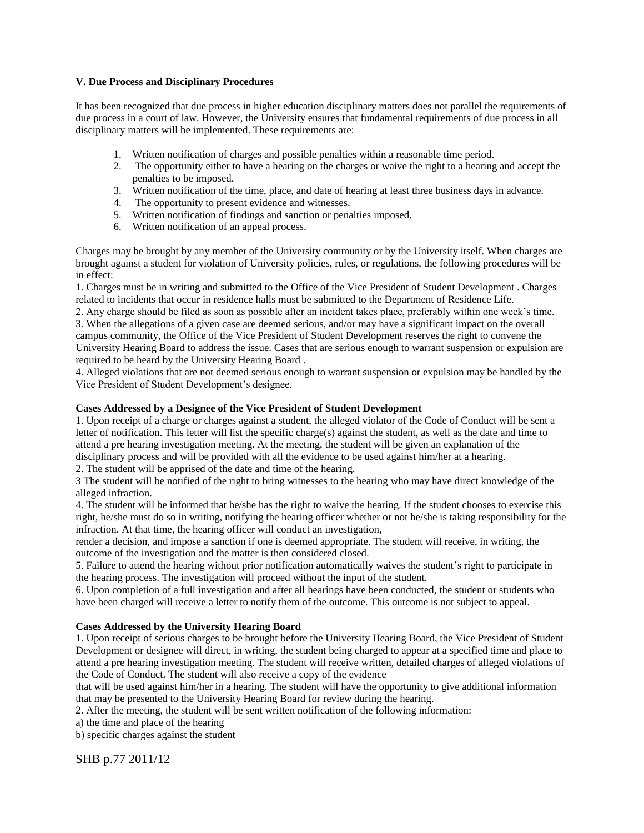## **V. Due Process and Disciplinary Procedures**

It has been recognized that due process in higher education disciplinary matters does not parallel the requirements of due process in a court of law. However, the University ensures that fundamental requirements of due process in all disciplinary matters will be implemented. These requirements are:

- 1. Written notification of charges and possible penalties within a reasonable time period.
- 2. The opportunity either to have a hearing on the charges or waive the right to a hearing and accept the penalties to be imposed.
- 3. Written notification of the time, place, and date of hearing at least three business days in advance.
- 4. The opportunity to present evidence and witnesses.
- 5. Written notification of findings and sanction or penalties imposed.
- 6. Written notification of an appeal process.

Charges may be brought by any member of the University community or by the University itself. When charges are brought against a student for violation of University policies, rules, or regulations, the following procedures will be in effect:

1. Charges must be in writing and submitted to the Office of the Vice President of Student Development . Charges related to incidents that occur in residence halls must be submitted to the Department of Residence Life.

2. Any charge should be filed as soon as possible after an incident takes place, preferably within one week's time. 3. When the allegations of a given case are deemed serious, and/or may have a significant impact on the overall campus community, the Office of the Vice President of Student Development reserves the right to convene the University Hearing Board to address the issue. Cases that are serious enough to warrant suspension or expulsion are required to be heard by the University Hearing Board .

4. Alleged violations that are not deemed serious enough to warrant suspension or expulsion may be handled by the Vice President of Student Development's designee.

## **Cases Addressed by a Designee of the Vice President of Student Development**

1. Upon receipt of a charge or charges against a student, the alleged violator of the Code of Conduct will be sent a letter of notification. This letter will list the specific charge(s) against the student, as well as the date and time to attend a pre hearing investigation meeting. At the meeting, the student will be given an explanation of the disciplinary process and will be provided with all the evidence to be used against him/her at a hearing.

2. The student will be apprised of the date and time of the hearing.

3 The student will be notified of the right to bring witnesses to the hearing who may have direct knowledge of the alleged infraction.

4. The student will be informed that he/she has the right to waive the hearing. If the student chooses to exercise this right, he/she must do so in writing, notifying the hearing officer whether or not he/she is taking responsibility for the infraction. At that time, the hearing officer will conduct an investigation,

render a decision, and impose a sanction if one is deemed appropriate. The student will receive, in writing, the outcome of the investigation and the matter is then considered closed.

5. Failure to attend the hearing without prior notification automatically waives the student's right to participate in the hearing process. The investigation will proceed without the input of the student.

6. Upon completion of a full investigation and after all hearings have been conducted, the student or students who have been charged will receive a letter to notify them of the outcome. This outcome is not subject to appeal.

### **Cases Addressed by the University Hearing Board**

1. Upon receipt of serious charges to be brought before the University Hearing Board, the Vice President of Student Development or designee will direct, in writing, the student being charged to appear at a specified time and place to attend a pre hearing investigation meeting. The student will receive written, detailed charges of alleged violations of the Code of Conduct. The student will also receive a copy of the evidence

that will be used against him/her in a hearing. The student will have the opportunity to give additional information that may be presented to the University Hearing Board for review during the hearing.

2. After the meeting, the student will be sent written notification of the following information:

a) the time and place of the hearing

b) specific charges against the student

SHB p.77 2011/12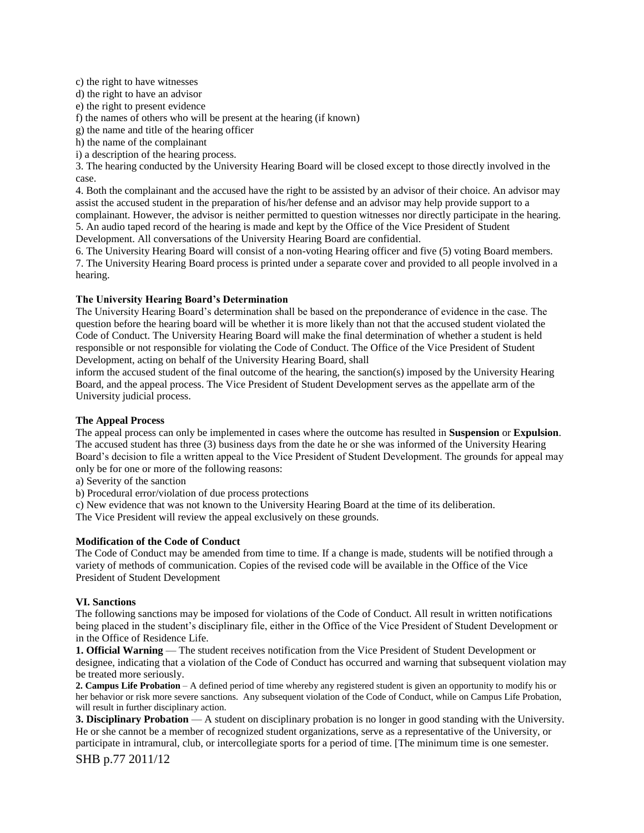c) the right to have witnesses

d) the right to have an advisor

e) the right to present evidence

f) the names of others who will be present at the hearing (if known)

g) the name and title of the hearing officer

h) the name of the complainant

i) a description of the hearing process.

3. The hearing conducted by the University Hearing Board will be closed except to those directly involved in the case.

4. Both the complainant and the accused have the right to be assisted by an advisor of their choice. An advisor may assist the accused student in the preparation of his/her defense and an advisor may help provide support to a complainant. However, the advisor is neither permitted to question witnesses nor directly participate in the hearing. 5. An audio taped record of the hearing is made and kept by the Office of the Vice President of Student Development. All conversations of the University Hearing Board are confidential.

6. The University Hearing Board will consist of a non-voting Hearing officer and five (5) voting Board members. 7. The University Hearing Board process is printed under a separate cover and provided to all people involved in a hearing.

#### **The University Hearing Board's Determination**

The University Hearing Board's determination shall be based on the preponderance of evidence in the case. The question before the hearing board will be whether it is more likely than not that the accused student violated the Code of Conduct. The University Hearing Board will make the final determination of whether a student is held responsible or not responsible for violating the Code of Conduct. The Office of the Vice President of Student Development, acting on behalf of the University Hearing Board, shall

inform the accused student of the final outcome of the hearing, the sanction(s) imposed by the University Hearing Board, and the appeal process. The Vice President of Student Development serves as the appellate arm of the University judicial process.

#### **The Appeal Process**

The appeal process can only be implemented in cases where the outcome has resulted in **Suspension** or **Expulsion**. The accused student has three (3) business days from the date he or she was informed of the University Hearing Board's decision to file a written appeal to the Vice President of Student Development. The grounds for appeal may only be for one or more of the following reasons:

a) Severity of the sanction

b) Procedural error/violation of due process protections

c) New evidence that was not known to the University Hearing Board at the time of its deliberation. The Vice President will review the appeal exclusively on these grounds.

#### **Modification of the Code of Conduct**

The Code of Conduct may be amended from time to time. If a change is made, students will be notified through a variety of methods of communication. Copies of the revised code will be available in the Office of the Vice President of Student Development

#### **VI. Sanctions**

The following sanctions may be imposed for violations of the Code of Conduct. All result in written notifications being placed in the student's disciplinary file, either in the Office of the Vice President of Student Development or in the Office of Residence Life.

**1. Official Warning** — The student receives notification from the Vice President of Student Development or designee, indicating that a violation of the Code of Conduct has occurred and warning that subsequent violation may be treated more seriously.

**2. Campus Life Probation** – A defined period of time whereby any registered student is given an opportunity to modify his or her behavior or risk more severe sanctions. Any subsequent violation of the Code of Conduct, while on Campus Life Probation, will result in further disciplinary action.

**3. Disciplinary Probation** — A student on disciplinary probation is no longer in good standing with the University. He or she cannot be a member of recognized student organizations, serve as a representative of the University, or participate in intramural, club, or intercollegiate sports for a period of time. [The minimum time is one semester.

SHB p.77 2011/12